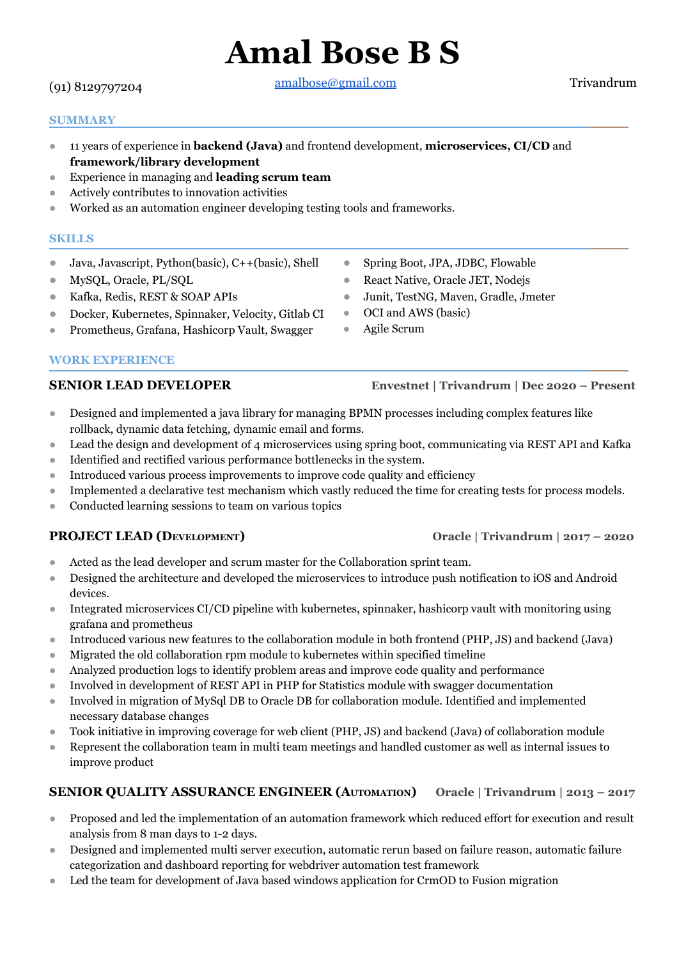# (91) 8129797204

[amalbose@gmail.com](mailto:amalbose@gmail.com) Trivandrum

**Amal Bose B S**

### **SUMMARY**

- 11 years of experience in **backend (Java)** and frontend development, **microservices, CI/CD** and **framework/library development**
- Experience in managing and **leading scrum team**
- Actively contributes to innovation activities
- Worked as an automation engineer developing testing tools and frameworks.

### **SKILLS**

- Java, Javascript, Python(basic), C++(basic), Shell
- MySQL, Oracle, PL/SQL
- Kafka, Redis, REST & SOAP APIs
- Docker, Kubernetes, Spinnaker, Velocity, Gitlab CI
- Prometheus, Grafana, Hashicorp Vault, Swagger

# **WORK EXPERIENCE**

# **SENIOR LEAD DEVELOPER Envestnet | Trivandrum | Dec 2020 – Present**

- Designed and implemented a java library for managing BPMN processes including complex features like rollback, dynamic data fetching, dynamic email and forms.
- Lead the design and development of 4 microservices using spring boot, communicating via REST API and Kafka
- Identified and rectified various performance bottlenecks in the system.
- Introduced various process improvements to improve code quality and efficiency
- Implemented a declarative test mechanism which vastly reduced the time for creating tests for process models.
- Conducted learning sessions to team on various topics

# **PROJECT LEAD (DEVELOPMENT) Oracle | Trivandrum | 2017 – 2020**

- Acted as the lead developer and scrum master for the Collaboration sprint team.
- Designed the architecture and developed the microservices to introduce push notification to iOS and Android devices.
- Integrated microservices CI/CD pipeline with kubernetes, spinnaker, hashicorp vault with monitoring using grafana and prometheus
- Introduced various new features to the collaboration module in both frontend (PHP, JS) and backend (Java)
- Migrated the old collaboration rpm module to kubernetes within specified timeline
- Analyzed production logs to identify problem areas and improve code quality and performance
- Involved in development of REST API in PHP for Statistics module with swagger documentation
- Involved in migration of MySql DB to Oracle DB for collaboration module. Identified and implemented necessary database changes
- Took initiative in improving coverage for web client (PHP, JS) and backend (Java) of collaboration module
- Represent the collaboration team in multi team meetings and handled customer as well as internal issues to improve product

# **SENIOR QUALITY ASSURANCE ENGINEER (AUTOMATION) Oracle | Trivandrum | 2013 – 2017**

- Proposed and led the implementation of an automation framework which reduced effort for execution and result analysis from 8 man days to 1-2 days.
- Designed and implemented multi server execution, automatic rerun based on failure reason, automatic failure categorization and dashboard reporting for webdriver automation test framework
- Led the team for development of Java based windows application for CrmOD to Fusion migration
- Spring Boot, JPA, JDBC, Flowable
- React Native, Oracle JET, Nodejs
- Junit, TestNG, Maven, Gradle, Jmeter
- OCI and AWS (basic)
- Agile Scrum